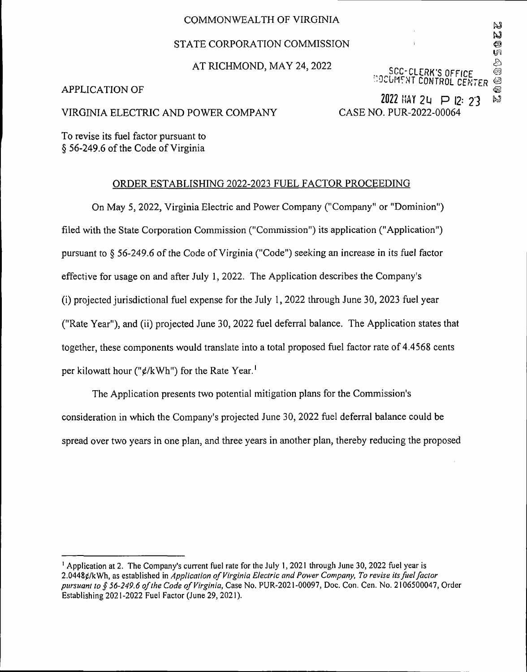### COMMONWEALTH OF VIRGINIA

## STATE CORPORATION COMMISSION

## AT RICHMOND, MAY 24, 2022

### APPLICATION OF

*office* **••OvGMfNT CONTROL** *CENTER @*

Ŋ Ŋ Ó

#### VIRGINIA ELECTRIC AND POWER COMPANY

2022 HAY 24  $\supset P$  12: 23 CASE NO. PUR-2022-00064

To revise its fuel factor pursuant to § 56-249.6 of the Code of Virginia

### ORDER ESTABLISHING 2022-2023 FUEL FACTOR PROCEEDING

On May 5, 2022, Virginia Electric and Power Company ("Company" or "Dominion") filed with the State Corporation Commission ("Commission") its application ("Application") pursuant to  $\S$  56-249.6 of the Code of Virginia ("Code") seeking an increase in its fuel factor effective for usage on and after July 1, 2022. The Application describes the Company's (i) projected jurisdictional fuel expense for the July 1, 2022 through June 30, 2023 fuel year ("Rate Year"), and (ii) projected June 30, 2022 fuel deferral balance. The Application states that together, these components would translate into a total proposed fuel factor rate of 4.4568 cents per kilowatt hour ("¢/kWh") for the Rate Year.<sup>1</sup>

The Application presents two potential mitigation plans for the Commission's consideration in which the Company's projected June 30, 2022 fuel deferral balance could be spread over two years in one plan, and three years in another plan, thereby reducing the proposed

<sup>1</sup> Application at 2. The Company's current fuel rate for the July 1,2021 through June 30, 2022 fuel year is 2.04480/kWh, as established in *Application ofVirginia Electric and Power Company, To revise itsfuelfactor pursuant to § 56-249.6 ofthe Code ofVirginia,* Case No. PUR-2021-00097, Doc. Con. Cen. No. 2106500047, Order Establishing 2021-2022 Fuel Factor (June 29, 2021).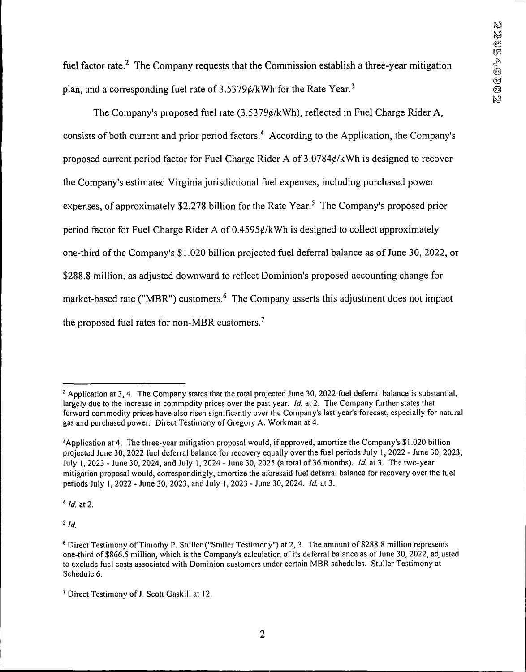fuel factor rate.<sup>2</sup> The Company requests that the Commission establish a three-year mitigation plan, and a corresponding fuel rate of  $3.5379 \ell / kWh$  for the Rate Year.<sup>3</sup>

The Company's proposed fuel rate  $(3.5379\varepsilon/kWh)$ , reflected in Fuel Charge Rider A, consists of both current and prior period factors.4 According to the Application, the Company's proposed current period factor for Fuel Charge Rider A of 3.0784¢/kWh is designed to recover the Company's estimated Virginia jurisdictional fuel expenses, including purchased power expenses, of approximately \$2,278 billion for the Rate Year.<sup>5</sup> The Company's proposed prior period factor for Fuel Charge Rider A of  $0.4595\ell/kWh$  is designed to collect approximately one-third of the Company's \$1,020 billion projected fuel deferral balance as of June 30, 2022, or \$288.8 million, as adjusted downward to reflect Dominion's proposed accounting change for market-based rate ("MBR") customers.<sup>6</sup> The Company asserts this adjustment does not impact the proposed fuel rates for non-MBR customers.<sup>7</sup>

*<sup>4</sup> id.* at 2.

*<sup>5</sup> Id.*

<sup>&</sup>lt;sup>2</sup> Application at 3, 4. The Company states that the total projected June 30, 2022 fuel deferral balance is substantial, largely due to the increase in commodity prices over the past year. *Id.* at 2. The Company further states that forward commodity prices have also risen significantly over the Company's last year's forecast, especially for natural gas and purchased power. Direct Testimony of Gregory A. Workman at 4.

<sup>3</sup>Application at 4. The three-year mitigation proposal would, if approved, amortize the Company's \$1.020 billion projected June 30,2022 fuel deferral balance for recovery equally over the fuel periods July 1, 2022 - June 30,2023, July 1,2023 - June 30, 2024, and July 1,2024 - June 30, 2025 (a total of 36 months). *Id.* at 3. The two-year mitigation proposal would, correspondingly, amortize the aforesaid fuel deferral balance for recovery over the fuel periods July 1,2022 - June 30, 2023, and July 1,2023 - June 30, 2024. *Id* at 3.

<sup>6</sup> Direct Testimony ofTimothy P. Stuller ("Stuller Testimony") at 2, 3. The amount of \$288.8 million represents one-third of \$866.5 million, which is the Company's calculation of its deferral balance as ofJune 30, 2022, adjusted to exclude fuel costs associated with Dominion customers under certain MBR schedules. Stuller Testimony at Schedule 6.

<sup>&</sup>lt;sup>7</sup> Direct Testimony of J. Scott Gaskill at 12.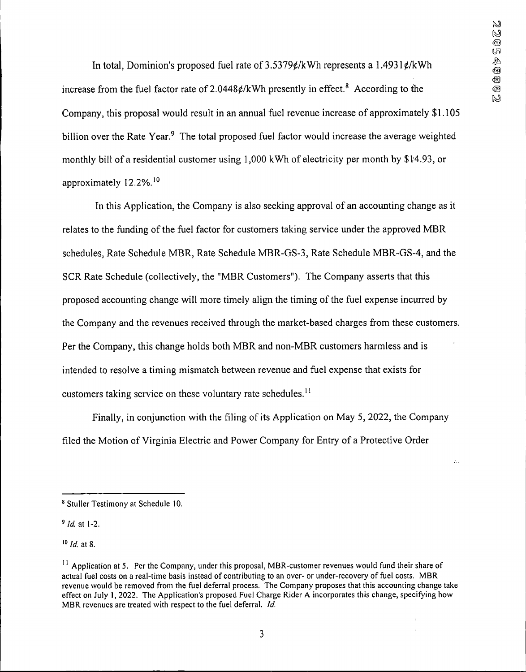$\mathcal{L}_{\mathcal{L}}$ 

In total, Dominion's proposed fuel rate of  $3.5379 \ell / kWh$  represents a  $1.4931 \ell / kWh$ increase from the fuel factor rate of  $2.0448\frac{\epsilon}{k}$ Wh presently in effect.<sup>8</sup> According to the Company, this proposal would result in an annual fuel revenue increase of approximately \$1,105 billion over the Rate Year.<sup>9</sup> The total proposed fuel factor would increase the average weighted monthly bill of a residential customer using 1,000 kWh of electricity per month by \$14.93, or approximately 12.2%.10

In this Application, the Company is also seeking approval of an accounting change as it relates to the funding of the fuel factor for customers taking service under the approved MBR schedules, Rate Schedule MBR, Rate Schedule MBR-GS-3, Rate Schedule MBR-GS-4, and the SCR Rate Schedule (collectively, the "MBR Customers"). The Company asserts that this proposed accounting change will more timely align the timing ofthe fuel expense incurred by the Company and the revenues received through the market-based charges from these customers. Per the Company, this change holds both MBR and non-MBR customers harmless and is intended to resolve a timing mismatch between revenue and fuel expense that exists for customers taking service on these voluntary rate schedules.<sup>11</sup>

Finally, in conjunction with the filing of its Application on May 5, 2022, the Company filed the Motion of Virginia Electric and Power Company for Entry of a Protective Order

*<sup>10</sup> Id.* at 8.

**<sup>8</sup>** Stuller Testimony at Schedule 10.

*<sup>9</sup> Id.* at 1-2.

<sup>&</sup>lt;sup>11</sup> Application at 5. Per the Company, under this proposal, MBR-customer revenues would fund their share of actual fuel costs on a real-time basis instead of contributing to an over- or under-recovery of fuel costs. MBR revenue would be removed from the fuel deferral process. The Company proposes that this accounting change take effect on July 1,2022. The Application's proposed Fuel Charge Rider A incorporates this change, specifying how MBR revenues are treated with respect to the fuel deferral. *Id.*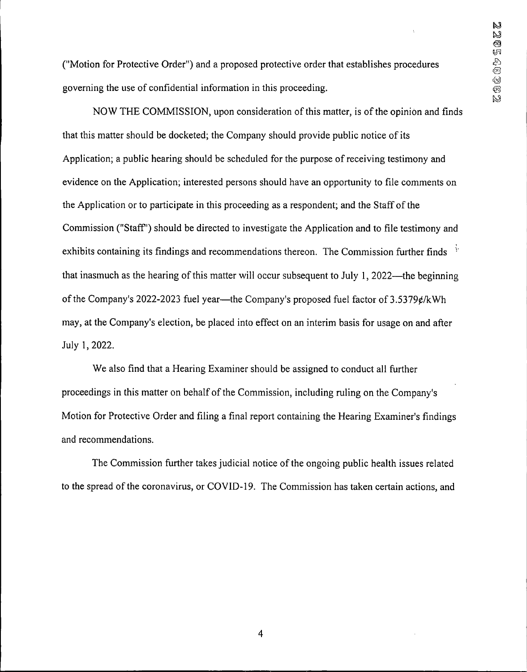("Motion for Protective Order") and a proposed protective order that establishes procedures governing the use of confidential information in this proceeding.

NOW THE COMMISSION, upon consideration of this matter, is of the opinion and finds that this matter should be docketed; the Company should provide public notice ofits Application; a public hearing should be scheduled for the purpose of receiving testimony and evidence on the Application; interested persons should have an opportunity to file comments on the Application or to participate in this proceeding as a respondent; and the Staff of the Commission ("Staff") should be directed to investigate the Application and to file testimony and exhibits containing its findings and recommendations thereon. The Commission further finds  $\frac{1}{2}$ that inasmuch as the hearing of this matter will occur subsequent to July 1, 2022—the beginning of the Company's 2022-2023 fuel year—the Company's proposed fuel factor of  $3.5379 \ell$ /kWh may, at the Company's election, be placed into effect on an interim basis for usage on and after July 1,2022.

We also find that a Hearing Examiner should be assigned to conduct all further proceedings in this matter on behalf of the Commission, including ruling on the Company's Motion for Protective Order and filing a final report containing the Hearing Examiner's findings and recommendations.

The Commission further takes judicial notice of the ongoing public health issues related to the spread of the coronavirus, or COVID-19. The Commission has taken certain actions, and

4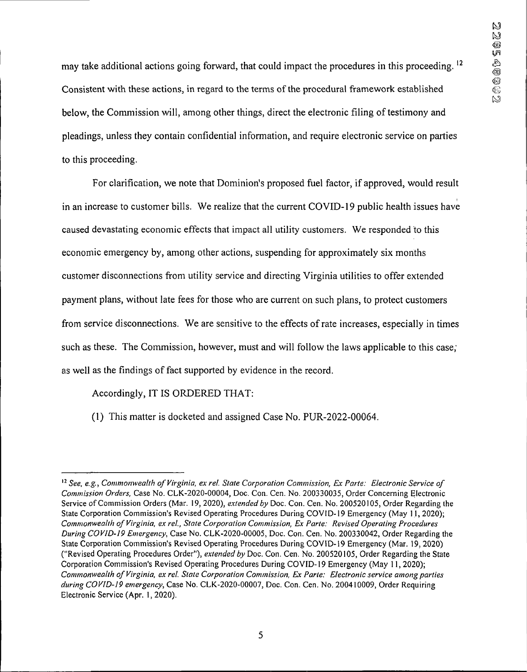may take additional actions going forward, that could impact the procedures in this proceeding.<sup>12</sup> Consistent with these actions, in regard to the terms of the procedural framework established below, the Commission will, among other things, direct the electronic filing of testimony and pleadings, unless they contain confidential information, and require electronic service on parties to this proceeding.

For clarification, we note that Dominion's proposed fuel factor, if approved, would result in an increase to customer bills. We realize that the current COVID-19 public health issues have caused devastating economic effects that impact all utility customers. We responded to this economic emergency by, among other actions, suspending for approximately six months customer disconnections from utility service and directing Virginia utilities to offer extended payment plans, without late fees for those who are current on such plans, to protect customers from service disconnections. We are sensitive to the effects of rate increases, especially in times such as these. The Commission, however, must and will follow the laws applicable to this case; as well as the findings of fact supported by evidence in the record.

Accordingly, IT IS ORDERED THAT:

(1) This matter is docketed and assigned Case No. PUR-2022-00064.

*<sup>12</sup> See, e.g., Commonwealth ofVirginia, exrel. State Corporation Commission, Ex Parte: Electronic Service of Commission Orders,* Case No. CLK-2020-00004, Doc. Con. Cen. No. 200330035, Order Concerning Electronic Service ofCommission Orders (Mar. 19, 2020), *extended by* Doc. Con. Cen. No. 200520105, Order Regarding the State Corporation Commission's Revised Operating Procedures During COVID-19 Emergency (May 11, 2020); *Commonwealth of Virginia, ex rel., State Corporation Commission, Ex Parte: Revised Operating Procedures During COVID-19 Emergency,* Case No. CLK-2020-00005, Doc. Con. Cen. No. 200330042, Order Regarding the State Corporation Commission's Revised Operating Procedures During COVID-19 Emergency (Mar. 19, 2020) ("Revised Operating Procedures Order"), *extended by* Doc. Con. Cen. No. 200520105, Order Regarding the State Corporation Commission's Revised Operating Procedures During COVID-19 Emergency (May 11,2020); *Commonwealth of Virginia, ex rel. State Corporation Commission, Ex Parte: Electronic service amongparties during COVID-19 emergency,* Case No. CLK-2020-00007, Doc. Con. Cen. No. 200410009, Order Requiring Electronic Service (Apr. 1,2020).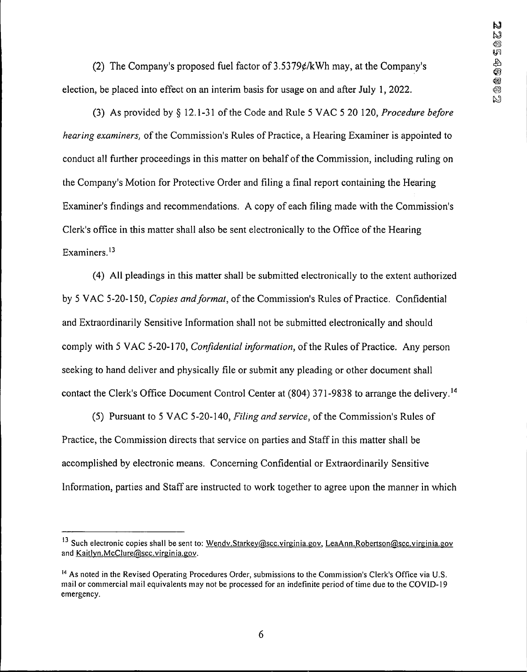(2) The Company's proposed fuel factor of  $3.5379 \ell / kWh$  may, at the Company's election, be placed into effect on an interim basis for usage on and after July 1, 2022.

(3) As provided by § 12.1-31 ofthe Code and Rule 5 VAC 5 20 120, *Procedure before hearing examiners,* of the Commission's Rules of Practice, a Hearing Examiner is appointed to conduct all further proceedings in this matter on behalf of the Commission, including ruling on the Company's Motion for Protective Order and filing a final report containing the Hearing Examiner's findings and recommendations. A copy of each filing made with the Commission's Clerk's office in this matter shall also be sent electronically to the Office of the Hearing Examiners.13

(4) All pleadings in this matter shall be submitted electronically to the extent authorized by <sup>5</sup> VAC 5-20-150, *Copies andformat,* ofthe Commission's Rules of Practice. Confidential and Extraordinarily Sensitive Information shall not be submitted electronically and should comply with 5 VAC 5-20-170, *Confidential information*, of the Rules of Practice. Any person seeking to hand deliver and physically file or submit any pleading or other document shall contact the Clerk's Office Document Control Center at (804) 371-9838 to arrange the delivery.<sup>14</sup>

(5) Pursuant to <sup>5</sup> VAC 5-20-140, *Filing and service,* ofthe Commission's Rules of Practice, the Commission directs that service on parties and Staff in this matter shall be accomplished by electronic means. Concerning Confidential or Extraordinarily Sensitive Information, parties and Staff are instructed to work together to agree upon the manner in which

<sup>&</sup>lt;sup>13</sup> Such electronic copies shall be sent to: Wendv.Starkey@scc.virginia.gov, LeaAnn.Robertson@scc.virginia.gov and Kaitlvn.McClure@scc.virginia.gov.

<sup>&</sup>lt;sup>14</sup> As noted in the Revised Operating Procedures Order, submissions to the Commission's Clerk's Office via U.S. mail or commercial mail equivalents may not be processed for an indefinite period of time due to the COVID-19 emergency.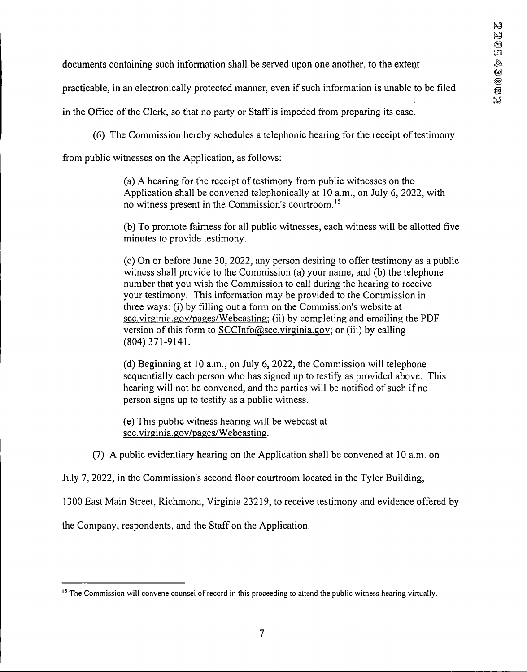documents containing such information shall be served upon one another, to the extent

practicable, in an electronically protected manner, even ifsuch information is unable to be filed

in the Office of the Clerk, so that no party or Staff is impeded from preparing its case.

 $(6)$  The Commission hereby schedules a telephonic hearing for the receipt of testimony

from public witnesses on the Application, as follows:

(a) A hearing for the receipt of testimony from public witnesses on the Application shall be convened telephonically at 10 a.m., on July 6, 2022, with no witness present in the Commission's courtroom.15

(b) To promote fairness for all public witnesses, each witness will be allotted five minutes to provide testimony.

(c) On or before June 30, 2022, any person desiring to offer testimony as a public witness shall provide to the Commission (a) your name, and (b) the telephone number that you wish the Commission to call during the hearing to receive your testimony. This information may be provided to the Commission in three ways: (i) by filling out a form on the Commission's website at scc.virginia.gov/pages/Webcasting; (ii) by completing and emailing the PDF version of this form to SCCInfo@scc.virginia.gov; or (iii) by calling (804) 371-9141.

(d) Beginning at 10 a.m., on July 6, 2022, the Commission will telephone sequentially each person who has signed up to testify as provided above. This hearing will not be convened, and the parties will be notified of such if no person signs up to testify as a public witness.

(e) This public witness hearing will be webcast at scc.virginia.gov/pages/Webcasting.

(7) A public evidentiary hearing on the Application shall be convened at 10 a.m. on

July 7, 2022, in the Commission's second floor courtroom located in the Tyler Building,

1300 East Main Street, Richmond, Virginia 23219, to receive testimony and evidence offered by

the Company, respondents, and the Staff on the Application.

<sup>&</sup>lt;sup>15</sup> The Commission will convene counsel of record in this proceeding to attend the public witness hearing virtually.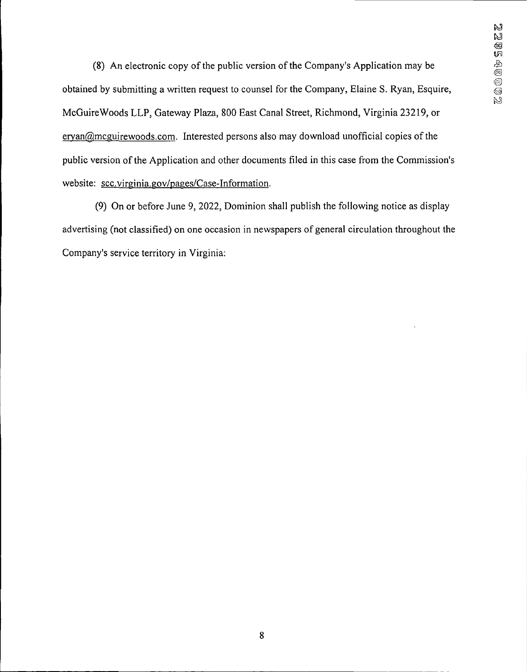(8) An electronic copy of the public version of the Company's Application may be obtained by submitting a written request to counsel for the Company, Elaine S. Ryan, Esquire, McGuireWoods LLP, Gateway Plaza, 800 East Canal Street, Richmond, Virginia 23219, or  $e$ ryan $@$ mcguirewoods.com. Interested persons also may download unofficial copies of the public version of the Application and other documents filed in this case from the Commission's website: scc.virginia.gov/pages/Case-Information.

(9) On or before June 9, 2022, Dominion shall publish the following notice as display advertising (not classified) on one occasion in newspapers of general circulation throughout the Company's service territory in Virginia: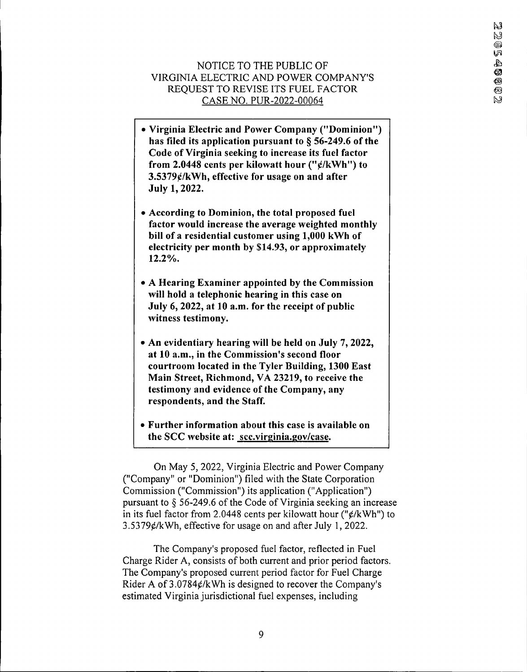# NOTICE TO THE PUBLIC OF VIRGINIA ELECTRIC AND POWER COMPANY'S REQUEST TO REVISE ITS FUEL FACTOR CASE NO. PUR-2022-00064

- **• Virginia Electric and Power Company ("Dominion") has filed its application pursuant to § 56-249.6 ofthe Code of Virginia seeking to increase its fuel factor from 2.0448 cents per kilowatt hour ("0/kWh") to 3.5379^/kWh, effective for usage on and after July 1, 2022.**
- **• According to Dominion, the total proposed fuel factor would increase the average weighted monthly bill of a residential customer using 1,000 kWh of electricity per month by \$14.93, or approximately 12.2%.**
- **• A Hearing Examiner appointed by the Commission will hold a telephonic hearing in this case on July 6, 2022, at 10 a.m. for the receipt of public witness testimony.**
- **• An evidentiary hearing will be held on July 7, 2022, at 10 a.m., in the Commission's second floor courtroom located in the Tyler Building, 1300 East Main Street, Richmond, VA 23219, to receive the testimony and evidence of the Company, any respondents, and the Staff.**
- **• Further information about this case is available on the SCC website at: scc.virginia.gov/case.**

On May 5, 2022, Virginia Electric and Power Company ("Company" or "Dominion") filed with the State Corporation Commission ("Commission") its application ("Application") pursuant to  $\S$  56-249.6 of the Code of Virginia seeking an increase in its fuel factor from 2.0448 cents per kilowatt hour (" $\rlap{/}$  /kWh") to  $3.5379$ ¢/kWh, effective for usage on and after July 1, 2022.

The Company's proposed fuel factor, reflected in Fuel Charge Rider A, consists of both current and prior period factors. The Company's proposed current period factor for Fuel Charge Rider A of  $3.0784 \frac{\epsilon}{k}$  Wh is designed to recover the Company's estimated Virginia jurisdictional fuel expenses, including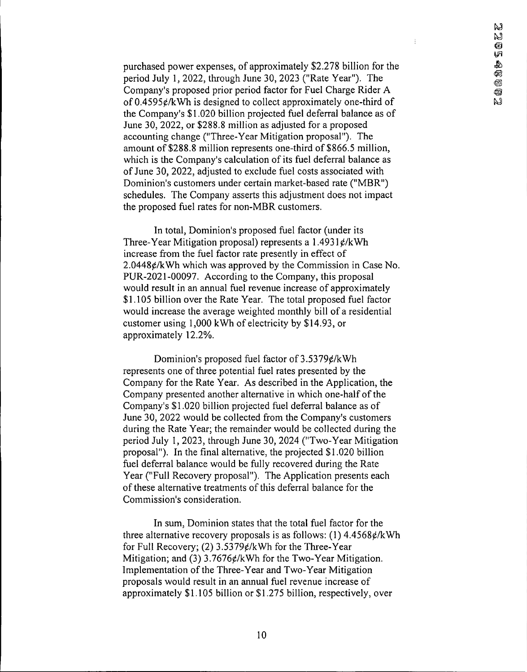$\frac{1}{2}$ 

purchased power expenses, of approximately \$2,278 billion for the period July 1, 2022, through June 30, 2023 ("Rate Year"). The Company's proposed prior period factor for Fuel Charge Rider A of  $0.4595 \notin /kWh$  is designed to collect approximately one-third of the Company's \$1,020 billion projected fuel deferral balance as of June 30, 2022, or \$288.8 million as adjusted for a proposed accounting change ("Three-Year Mitigation proposal"). The amount of \$288.8 million represents one-third of \$866.5 million, which is the Company's calculation of its fuel deferral balance as of June 30, 2022, adjusted to exclude fuel costs associated with Dominion's customers under certain market-based rate ("MBR") schedules. The Company asserts this adjustment does not impact the proposed fuel rates for non-MBR customers.

In total, Dominion's proposed fuel factor (under its Three-Year Mitigation proposal) represents a  $1.4931 \frac{\epsilon}{kWh}$ increase from the fuel factor rate presently in effect of  $2.0448¢/kWh$  which was approved by the Commission in Case No. PUR-2021-00097. According to the Company, this proposal would result in an annual fuel revenue increase of approximately \$1,105 billion over the Rate Year. The total proposed fuel factor would increase the average weighted monthly bill of a residential customer using 1,000 kWh of electricity by \$14.93, or approximately 12.2%.

Dominion's proposed fuel factor of  $3.5379 \ell/kWh$ represents one of three potential fuel rates presented by the Company for the Rate Year. As described in the Application, the Company presented another alternative in which one-half of the Company's \$1.020 billion projected fuel deferral balance as of June 30, 2022 would be collected from the Company's customers during the Rate Year; the remainder would be collected during the period July 1, 2023, through June 30, 2024 ("Two-Year Mitigation proposal"). In the final alternative, the projected \$1.020 billion fuel deferral balance would be fully recovered during the Rate Year ("Full Recovery proposal"). The Application presents each of these alternative treatments of this deferral balance for the Commission's consideration.

In sum, Dominion states that the total fuel factor for the three alternative recovery proposals is as follows: (1)  $4.4568 \ell/kWh$ for Full Recovery; (2)  $3.5379$ ¢/kWh for the Three-Year Mitigation; and  $(3)$  3.7676 $\frac{\epsilon}{k}$ Wh for the Two-Year Mitigation. Implementation of the Three-Year and Two-Year Mitigation proposals would result in an annual fuel revenue increase of approximately \$1,105 billion or \$1,275 billion, respectively, over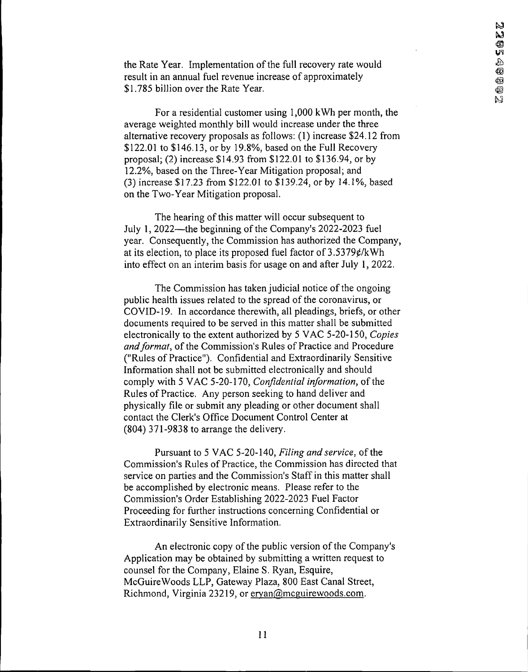the Rate Year. Implementation of the full recovery rate would result in an annual fuel revenue increase of approximately \$1.785 billion over the Rate Year.

For a residential customer using 1,000 kWh per month, the average weighted monthly bill would increase under the three alternative recovery proposals as follows: (1) increase \$24.12 from \$122.01 to \$146.13, or by 19.8%, based on the Full Recovery proposal; (2) increase \$14.93 from \$122.01 to \$136.94, or by 12.2%, based on the Three-Year Mitigation proposal; and (3) increase \$17.23 from \$122.01 to \$139.24, or by 14.1%, based on the Two-Year Mitigation proposal.

The hearing of this matter will occur subsequent to July 1, 2022—the beginning of the Company's 2022-2023 fuel year. Consequently, the Commission has authorized the Company, at its election, to place its proposed fuel factor of  $3.5379 \ell/kWh$ into effect on an interim basis for usage on and after July 1, 2022.

The Commission has taken judicial notice of the ongoing public health issues related to the spread of the coronavirus, or COVID-19. In accordance therewith, all pleadings, briefs, or other documents required to be served in this matter shall be submitted electronically to the extent authorized by 5 VAC 5-20-150, *Copies and format*, of the Commission's Rules of Practice and Procedure ("Rules of Practice"). Confidential and Extraordinarily Sensitive Information shall not be submitted electronically and should comply with 5 VAC 5-20-170, *Confidential information*, of the Rules of Practice. Any person seeking to hand deliver and physically file or submit any pleading or other document shall contact the Clerk's Office Document Control Center at (804) 371-9838 to arrange the delivery.

Pursuant to 5 VAC 5-20-140, *Filing and service*, of the Commission's Rules of Practice, the Commission has directed that service on parties and the Commission's Staff in this matter shall be accomplished by electronic means. Please refer to the Commission's Order Establishing 2022-2023 Fuel Factor Proceeding for further instructions concerning Confidential or Extraordinarily Sensitive Information.

An electronic copy of the public version of the Company's Application may be obtained by submitting a written request to counsel for the Company, Elaine S. Ryan, Esquire, McGuireWoods LLP, Gateway Plaza, 800 East Canal Street, Richmond, Virginia 23219, or ervan@mcguirewoods.com.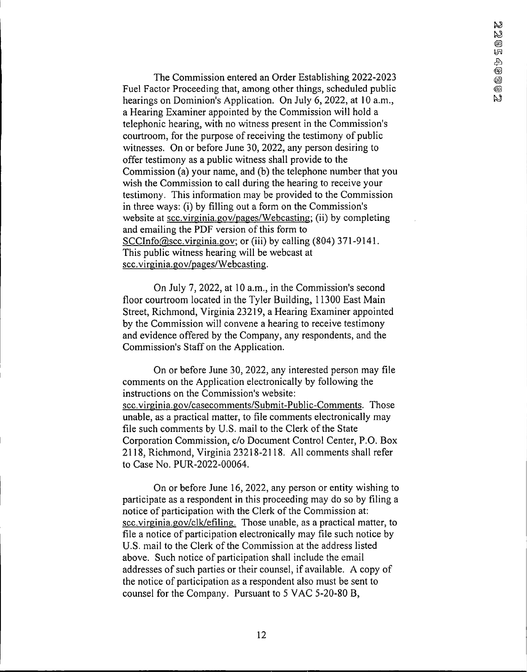The Commission entered an Order Establishing 2022-2023 Fuel Factor Proceeding that, among other things, scheduled public hearings on Dominion's Application. On July 6, 2022, at 10 a.m., a Hearing Examiner appointed by the Commission will hold a telephonic hearing, with no witness present in the Commission's courtroom, for the purpose of receiving the testimony of public witnesses. On or before June 30, 2022, any person desiring to offer testimony as a public witness shall provide to the Commission (a) your name, and (b) the telephone number that you wish the Commission to call during the hearing to receive your testimony. This information may be provided to the Commission in three ways: (i) by filling out a form on the Commission's website at scc.virginia.gov/pages/Webcasting; (ii) by completing and emailing the PDF version of this form to SCCInfo@scc.virginia.gov; or (iii) by calling (804) 371-9141. This public witness hearing will be webcast at scc.virginia.gov/pages/Webcasting.

On July 7, 2022, at 10 a.m., in the Commission's second floor courtroom located in the Tyler Building, 11300 East Main Street, Richmond, Virginia 23219, a Hearing Examiner appointed by the Commission will convene a hearing to receive testimony and evidence offered by the Company, any respondents, and the Commission's Staff on the Application.

On or before June 30, 2022, any interested person may file comments on the Application electronically by following the instructions on the Commission's website: scc.virginia.gov/casecomments/Submit-Public-Comments. Those unable, as a practical matter, to file comments electronically may file such comments by U.S. mail to the Clerk of the State Corporation Commission, c/o Document Control Center, P.O. Box 2118, Richmond, Virginia 23218-2118. All comments shall refer to Case No. PUR-2022-00064.

On or before June 16, 2022, any person or entity wishing to participate as a respondent in this proceeding may do so by filing a notice of participation with the Clerk of the Commission at: scc.virginia.gov/clk/efiling. Those unable, as a practical matter, to file a notice of participation electronically may file such notice by U.S. mail to the Clerk of the Commission at the address listed above. Such notice of participation shall include the email addresses of such parties or their counsel, if available. A copy of the notice of participation as a respondent also must be sent to counsel for the Company. Pursuant to 5 VAC 5-20-80 B,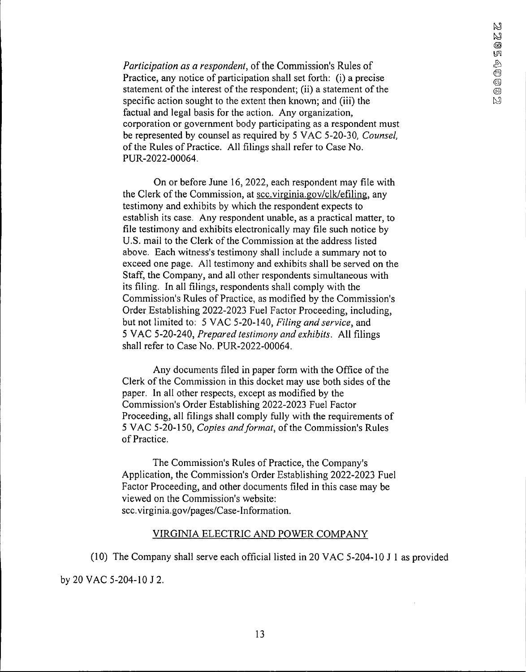*Participation as a respondent*, of the Commission's Rules of Practice, any notice of participation shall set forth: (i) a precise statement of the interest of the respondent; (ii) a statement of the specific action sought to the extent then known; and (iii) the factual and legal basis for the action. Any organization, corporation or government body participating as a respondent must be represented by counsel as required by 5 VAC 5-20-30, *Counsel,* of the Rules of Practice. All filings shall refer to Case No. PUR-2022-00064.

On or before June 16, 2022, each respondent may file with the Clerk of the Commission, at see virginia gov/clk/efiling, any testimony and exhibits by which the respondent expects to establish its case. Any respondent unable, as a practical matter, to file testimony and exhibits electronically may file such notice by U.S. mail to the Clerk of the Commission at the address listed above. Each witness's testimony shall include a summary not to exceed one page. All testimony and exhibits shall be served on the Staff, the Company, and all other respondents simultaneous with its filing. In all filings, respondents shall comply with the Commission's Rules of Practice, as modified by the Commission's Order Establishing 2022-2023 Fuel Factor Proceeding, including, but not limited to: 5 VAC 5-20-140, *Filing and service,* and 5 VAC 5-20-240, *Prepared testimony and exhibits.* All filings shall refer to Case No. PUR-2022-00064.

Any documents filed in paper form with the Office of the Clerk of the Commission in this docket may use both sides of the paper. In all other respects, except as modified by the Commission's Order Establishing 2022-2023 Fuel Factor Proceeding, all filings shall comply fully with the requirements of 5 VAC 5-20-150, *Copies and format*, of the Commission's Rules of Practice.

The Commission's Rules of Practice, the Company's Application, the Commission's Order Establishing 2022-2023 Fuel Factor Proceeding, and other documents filed in this case may be viewed on the Commission's website: scc.virginia.gov/pages/Case-Information.

#### VIRGINIA ELECTRIC AND POWER COMPANY

(10) The Company shall serve each official listed in 20 VAC 5-204-10 J <sup>1</sup> as provided by 20 VAC 5-204-10 J 2.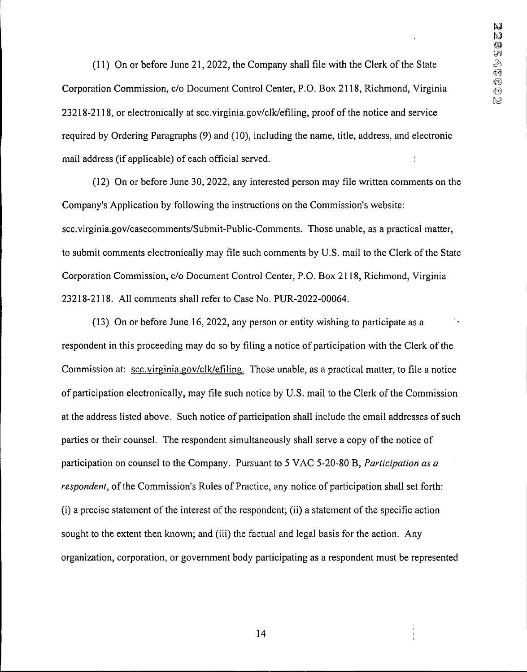(11) On or before June 21,2022, the Company shall file with the Clerk ofthe State Corporation Commission, c/o Document Control Center, P.O. Box 2118, Richmond, Virginia 23218-2118, or electronically at scc.virginia.gov/clk/efiling, proof ofthe notice and service required by Ordering Paragraphs (9) and (10), including the name, title, address, and electronic mail address (if applicable) of each official served.

(12) On or before June 30, 2022, any interested person may file written comments on the Company's Application by following the instructions on the Commission's website: scc.virginia.gov/casecomments/Submit-Public-Comments. Those unable, as a practical matter. to submit comments electronically may file such comments by U.S. mail to the Clerk ofthe State Corporation Commission, c/o Document Control Center, P.O. Box 2118, Richmond, Virginia 23218-2118. All comments shall refer to Case No. PUR-2022-00064.

(13) On or before June 16, 2022, any person or entity wishing to participate as a respondent in this proceeding may do so by filing a notice of participation with the Clerk of the Commission at: scc.virginia.gov/clk/efiling. Those unable, as a practical matter, to file a notice of participation electronically, may file such notice by U.S. mail to the Clerk of the Commission at the address listed above. Such notice of participation shall include the email addresses of such parties or their counsel. The respondent simultaneously shall serve a copy of the notice of participation on counsel to the Company. Pursuant to 5 VAC 5-20-80 B, *Participation as a respondent*, of the Commission's Rules of Practice, any notice of participation shall set forth:  $(i)$  a precise statement of the interest of the respondent;  $(ii)$  a statement of the specific action sought to the extent then known; and (iii) the factual and legal basis for the action. Any organization, corporation, or government body participating as a respondent must be represented

14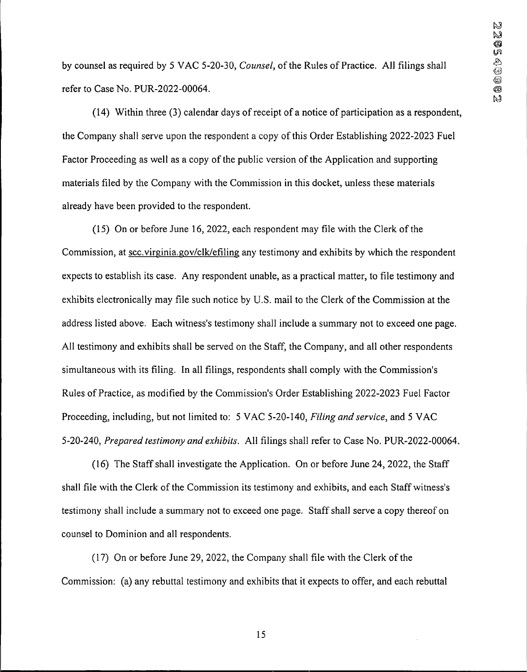by counsel as required by 5 VAC 5-20-30, *Counsel*, of the Rules of Practice. All filings shall refer to Case No. PUR-2022-00064.

 $(14)$  Within three  $(3)$  calendar days of receipt of a notice of participation as a respondent, the Company shall serve upon the respondent a copy of this Order Establishing 2022-2023 Fuel Factor Proceeding as well as a copy of the public version of the Application and supporting materials filed by the Company with the Commission in this docket, unless these materials already have been provided to the respondent.

 $(15)$  On or before June 16, 2022, each respondent may file with the Clerk of the Commission, at scc.virginia.gov/clk/efiling any testimony and exhibits by which the respondent expects to establish its case. Any respondent unable, as a practical matter, to file testimony and exhibits electronically may file such notice by U.S. mail to the Clerk of the Commission at the address listed above. Each witness's testimony shall include a summary not to exceed one page. All testimony and exhibits shall be served on the Staff, the Company, and all other respondents simultaneous with its filing. In all filings, respondents shall comply with the Commission's Rules of Practice, as modified by the Commission's Order Establishing 2022-2023 Fuel Factor Proceeding, including, but not limited to: 5 VAC 5-20-140, *Filing and service,* and 5 VAC 5-20-240, *Prepared testimony and exhibits.* All filings shall refer to Case No. PUR-2022-00064.

(16) The Staff shall investigate the Application. On or before June 24, 2022, the Staff shall file with the Clerk of the Commission its testimony and exhibits, and each Staff witness's testimony shall include a summary not to exceed one page. Staff shall serve a copy thereof on counsel to Dominion and all respondents.

 $(17)$  On or before June 29, 2022, the Company shall file with the Clerk of the Commission: (a) any rebuttal testimony and exhibits that it expects to offer, and each rebuttal

15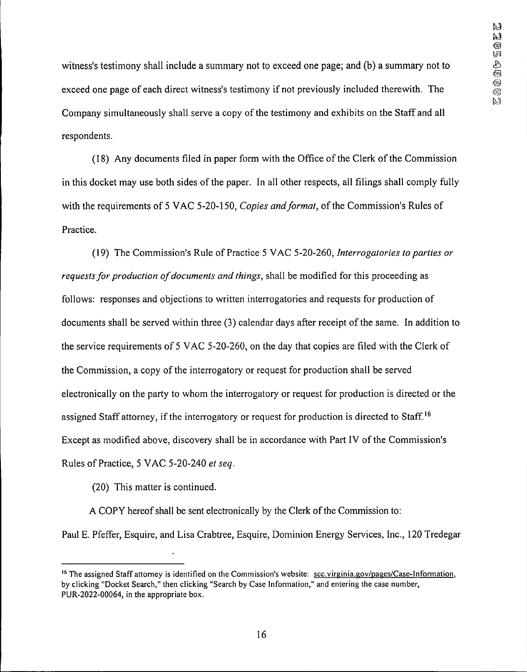witness's testimony shall include a summary not to exceed one page; and (b) a summary not to exceed one page of each direct witness's testimony if not previously included therewith. The Company simultaneously shall serve a copy of the testimony and exhibits on the Staff and all respondents.

(18) Any documents filed in paper form with the Office of the Clerk of the Commission in this docket may use both sides of the paper. In all other respects, all filings shall comply fully with the requirements of 5 VAC 5-20-150, *Copies and format*, of the Commission's Rules of Practice.

(19) The Commission's Rule of Practice 5 VAC 5-20-260, *Interrogatories to parties or requestsfor production ofdocuments and things,* shall be modified for this proceeding as follows: responses and objections to written interrogatories and requests for production of documents shall be served within three (3) calendar days after receipt of the same. In addition to the service requirements of 5 VAC 5-20-260, on the day that copies are filed with the Clerk of the Commission, a copy of the interrogatory or request for production shall be served electronically on the party to whom the interrogatory or request for production is directed or the assigned Staff attorney, if the interrogatory or request for production is directed to Staff.<sup>16</sup> Except as modified above, discovery shall be in accordance with Part IV of the Commission's Rules of Practice, 5 VAC 5-20-240 *et* seq.

(20) This matter is continued.

A COPY hereof shall be sent electronically by the Clerk of the Commission to: Paul E. Pfeffer, Esquire, and Lisa Crabtree, Esquire, Dominion Energy Services, Inc., 120 Tredegar

<sup>&</sup>lt;sup>16</sup> The assigned Staff attorney is identified on the Commission's website: scc.virginia.gov/pages/Case-Information, by clicking "Docket Search," then clicking "Search by Case Information," and entering the case number, PUR-2022-00064, in the appropriate box.